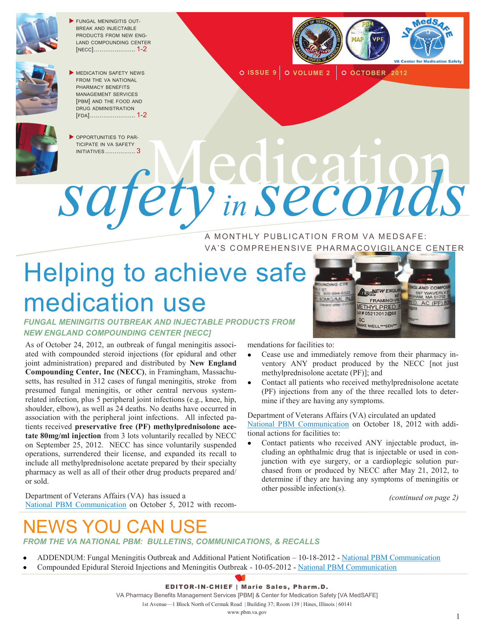

 FUNGAL MENINGITIS OUT-BREAK AND INJECTABLE PRODUCTS FROM NEW ENG-LAND COMPOUNDING CENTER [NECC]...................... 1-2



 MEDICATION SAFETY NEWS FROM THE VA NATIONAL PHARMACY BENEFITS MANAGEMENT SERVICES [PBM] AND THE FOOD AND DRUG ADMINISTRATION [FDA]........................ 1-2



 OPPORTUNITIES TO PAR-TICIPATE IN VA SAFETY<br>INITIATIVES .................3 INITIATIVES ................ <sup>3</sup>Medication



**O ISSUE 9 O VOLUME 2 O OCTOBER 2012** 

A MONTHLY PUBLICATION FROM VA MEDSAFE: VA'S COMPREHENSIVE PHARMACOVIGILANCE CENTER

# Helping to achieve safe medication use

#### *FUNGAL MENINGITIS OUTBREAK AND INJECTABLE PRODUCTS FROM NEW ENGLAND COMPOUNDING CENTER [NECC]*

As of October 24, 2012, an outbreak of fungal meningitis associated with compounded steroid injections (for epidural and other joint administration) prepared and distributed by **New England Compounding Center, Inc (NECC)**, in Framingham, Massachusetts, has resulted in 312 cases of fungal meningitis, stroke from presumed fungal meningitis, or other central nervous systemrelated infection, plus 5 peripheral joint infections (e.g., knee, hip, shoulder, elbow), as well as 24 deaths. No deaths have occurred in association with the peripheral joint infections. All infected patients received **preservative free (PF) methylprednisolone acetate 80mg/ml injection** from 3 lots voluntarily recalled by NECC on September 25, 2012. NECC has since voluntarily suspended operations, surrendered their license, and expanded its recall to include all methylprednisolone acetate prepared by their specialty pharmacy as well as all of their other drug products prepared and/ or sold.

Department of Veterans Affairs (VA) has issued a [National PBM Communication](http://www.pbm.va.gov/vamedsafe/Compounded_Epidural_Steroid_Injections_and_Meningitis_Outbreak_NATIONAL_PBM_COMMUNICATION_10052012_FINAL.PDF) on October 5, 2012 with recom-



mendations for facilities to:

- Cease use and immediately remove from their pharmacy inventory ANY product produced by the NECC [not just methylprednisolone acetate (PF)]; and
- Contact all patients who received methylprednisolone acetate (PF) injections from any of the three recalled lots to determine if they are having any symptoms.

Department of Veterans Affairs (VA) circulated an updated [National PBM Communication](http://www.pbm.va.gov/vamedsafe/nationalpbmcommunication/FungalMeningitisOutbreakandAdditionalPatientNotificationAddendum.PDF) on October 18, 2012 with additional actions for facilities to:

Contact patients who received ANY injectable product, including an ophthalmic drug that is injectable or used in conjunction with eye surgery, or a cardioplegic solution purchased from or produced by NECC after May 21, 2012, to determine if they are having any symptoms of meningitis or other possible infection(s).

*(continued on page 2)*

# YOU CAN USE

#### *FROM THE VA NATIONAL PBM: BULLETINS, COMMUNICATIONS, & RECALLS*

- ADDENDUM: Fungal Meningitis Outbreak and Additional Patient Notification 10-18-2012 [National PBM Communication](http://www.pbm.va.gov/vamedsafe/nationalpbmcommunication/FungalMeningitisOutbreakandAdditionalPatientNotificationAddendum.PDF)
- Compounded Epidural Steroid Injections and Meningitis Outbreak 10-05-2012 [National PBM Communication](http://www.pbm.va.gov/vamedsafe/Compounded_Epidural_Steroid_Injections_and_Meningitis_Outbreak_NATIONAL_PBM_COMMUNICATION_10052012_FINAL.PDF)



VA Pharmacy Benefits Management Services [PBM] & Center for Medication Safety [VA MedSAFE]

1st Avenue—1 Block North of Cermak Road | Building 37; Room 139 | Hines, Illinois | 60141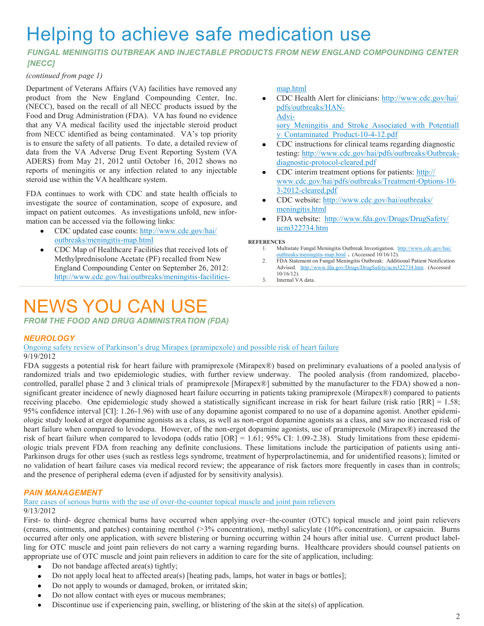## Helping to achieve safe medication use

#### *FUNGAL MENINGITIS OUTBREAK AND INJECTABLE PRODUCTS FROM NEW ENGLAND COMPOUNDING CENTER [NECC]*

#### *(continued from page 1)*

Department of Veterans Affairs (VA) facilities have removed any product from the New England Compounding Center, Inc. (NECC), based on the recall of all NECC products issued by the Food and Drug Administration (FDA). VA has found no evidence that any VA medical facility used the injectable steroid product from NECC identified as being contaminated. VA's top priority is to ensure the safety of all patients. To date, a detailed review of data from the VA Adverse Drug Event Reporting System (VA ADERS) from May 21, 2012 until October 16, 2012 shows no reports of meningitis or any infection related to any injectable steroid use within the VA healthcare system.

FDA continues to work with CDC and state health officials to investigate the source of contamination, scope of exposure, and impact on patient outcomes. As investigations unfold, new information can be accessed via the following links:

- CDC updated case counts: [http://www.cdc.gov/hai/](http://www.cdc.gov/hai/outbreaks/meningitis-map.html) [outbreaks/meningitis-map.html](http://www.cdc.gov/hai/outbreaks/meningitis-map.html)
- CDC Map of Healthcare Facilities that received lots of  $\bullet$ Methylprednisolone Acetate (PF) recalled from New England Compounding Center on September 26, 2012: [http://www.cdc.gov/hai/outbreaks/meningitis-facilities-](http://www.cdc.gov/hai/outbreaks/meningitis-facilities-map.html)

### NEWS YOU CAN USE

*FROM THE FOOD AND DRUG ADMINISTRATION (FDA)*

#### *NEUROLOGY*

[Ongoing safety review of Parkinson's drug Mirapex \(pramipexole\) and possible risk of heart failure](http://www.fda.gov/Drugs/DrugSafety/ucm319779.htm) 9/19/2012

FDA suggests a potential risk for heart failure with pramiprexole (Mirapex®) based on preliminary evaluations of a pooled analysis of randomized trials and two epidemiologic studies, with further review underway. The pooled analysis (from randomized, placebocontrolled, parallel phase 2 and 3 clinical trials of pramiprexole [Mirapex®] submitted by the manufacturer to the FDA) showed a nonsignificant greater incidence of newly diagnosed heart failure occurring in patients taking pramiprexole (Mirapex®) compared to patients receiving placebo. One epidemiologic study showed a statistically significant increase in risk for heart failure (risk ratio [RR] = 1.58; 95% confidence interval [CI]: 1.26-1.96) with use of any dopamine agonist compared to no use of a dopamine agonist. Another epidemiologic study looked at ergot dopamine agonists as a class, as well as non-ergot dopamine agonists as a class, and saw no increased risk of heart failure when compared to levodopa. However, of the non-ergot dopamine agonists, use of pramiprexole (Mirapex®) increased the risk of heart failure when compared to levodopa (odds ratio [OR] = 1.61; 95% CI: 1.09-2.38). Study limitations from these epidemiologic trials prevent FDA from reaching any definite conclusions. These limitations include the participation of patients using anti-Parkinson drugs for other uses (such as restless legs syndrome, treatment of hyperprolactinemia, and for unidentified reasons); limited or no validation of heart failure cases via medical record review; the appearance of risk factors more frequently in cases than in controls; and the presence of peripheral edema (even if adjusted for by sensitivity analysis).

#### *PAIN MANAGEMENT*

[Rare cases of serious burns with the use of over-the-counter topical muscle and joint pain relievers](http://www.fda.gov/Drugs/DrugSafety/ucm318858.htm) 9/13/2012

First- to third- degree chemical burns have occurred when applying over–the-counter (OTC) topical muscle and joint pain relievers (creams, ointments, and patches) containing menthol (>3% concentration), methyl salicylate (10% concentration), or capsaicin. Burns occurred after only one application, with severe blistering or burning occurring within 24 hours after initial use. Current product labelling for OTC muscle and joint pain relievers do not carry a warning regarding burns. Healthcare providers should counsel patients on appropriate use of OTC muscle and joint pain relievers in addition to care for the site of application, including:

- Do not bandage affected area(s) tightly;
- Do not apply local heat to affected area(s) [heating pads, lamps, hot water in bags or bottles];
- Do not apply to wounds or damaged, broken, or irritated skin;  $\bullet$
- Do not allow contact with eyes or mucous membranes;
- Discontinue use if experiencing pain, swelling, or blistering of the skin at the site(s) of application.

#### [map.html](http://www.cdc.gov/hai/outbreaks/meningitis-facilities-map.html)

CDC Health Alert for clinicians: [http://www.cdc.gov/hai/](http://www.cdc.gov/hai/pdfs/outbreaks/HAN-Advisory_Meningitis_and_Stroke_Associated_with_Potentially_Contaminated_Product-10-4-12.pdf) [pdfs/outbreaks/HAN-](http://www.cdc.gov/hai/pdfs/outbreaks/HAN-Advisory_Meningitis_and_Stroke_Associated_with_Potentially_Contaminated_Product-10-4-12.pdf)[Advi-](http://www.cdc.gov/hai/pdfs/outbreaks/HAN-Advisory_Meningitis_and_Stroke_Associated_with_Potentially_Contaminated_Product-10-4-12.pdf)

sory Meningitis and Stroke Associated with Potentiall [y\\_Contaminated\\_Product-10-4-12.pdf](http://www.cdc.gov/hai/pdfs/outbreaks/HAN-Advisory_Meningitis_and_Stroke_Associated_with_Potentially_Contaminated_Product-10-4-12.pdf)

- CDC instructions for clinical teams regarding diagnostic testing: [http://www.cdc.gov/hai/pdfs/outbreaks/Outbreak](http://www.cdc.gov/hai/pdfs/outbreaks/Outbreak-diagnostic-protocol-cleared.pdf)[diagnostic-protocol-cleared.pdf](http://www.cdc.gov/hai/pdfs/outbreaks/Outbreak-diagnostic-protocol-cleared.pdf)
- CDC interim treatment options for patients: [http://](http://www.cdc.gov/hai/pdfs/outbreaks/Treatment-Options-10-3-2012-cleared.pdf) [www.cdc.gov/hai/pdfs/outbreaks/Treatment-Options-10-](http://www.cdc.gov/hai/pdfs/outbreaks/Treatment-Options-10-3-2012-cleared.pdf) [3-2012-cleared.pdf](http://www.cdc.gov/hai/pdfs/outbreaks/Treatment-Options-10-3-2012-cleared.pdf)
- CDC website: [http://www.cdc.gov/hai/outbreaks/](http://www.cdc.gov/hai/outbreaks/meningitis.html) [meningitis.html](http://www.cdc.gov/hai/outbreaks/meningitis.html)
- FDA website: [http://www.fda.gov/Drugs/DrugSafety/](http://www.fda.gov/Drugs/DrugSafety/ucm322734.htm) [ucm322734.htm](http://www.fda.gov/Drugs/DrugSafety/ucm322734.htm)

#### **REFERENCES**

- 1. Multistate Fungal Meningitis Outbreak Investigation. [http://www.cdc.gov/hai/](http://www.cdc.gov/hai/outbreaks/meningitis-map.html) [outbreaks/meningitis-map.html](http://www.cdc.gov/hai/outbreaks/meningitis-map.html) **.** (Accessed 10/16/12).
- 2. FDA Statement on Fungal Meningitis Outbreak: Additional Patient Notification Advised. <http://www.fda.gov/Drugs/DrugSafety/ucm322734.htm> . (Accessed 10/16/12).
- 3. Internal VA data.